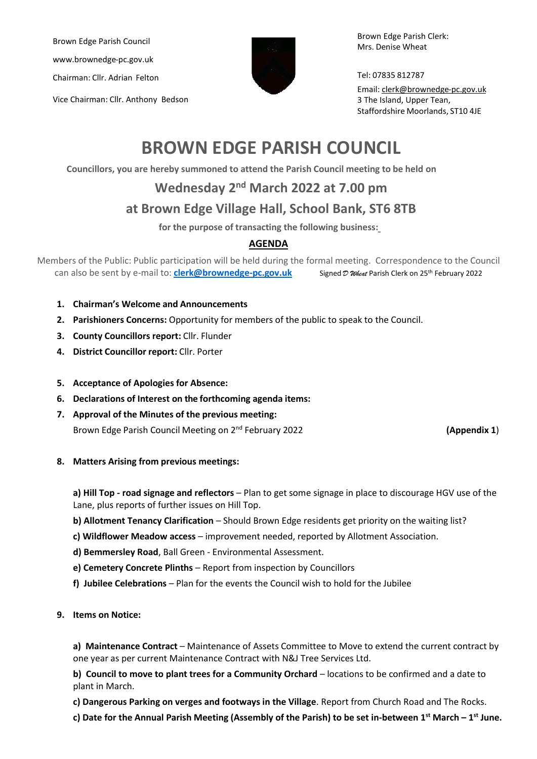Brown Edge Parish Council www.brownedge-pc.gov.uk

Chairman: Cllr. Adrian Felton

Vice Chairman: Cllr. Anthony Bedson



Brown Edge Parish Clerk: Mrs. Denise Wheat

Tel: 07835 812787

Email: clerk@brownedge-pc.gov.uk 3 The Island, Upper Tean, Staffordshire Moorlands, ST10 4JE

# **BROWN EDGE PARISH COUNCIL**

**Councillors, you are hereby summoned to attend the Parish Council meeting to be held on**

## **Wednesday 2 nd March 2022 at 7.00 pm**

## **at Brown Edge Village Hall, School Bank, ST6 8TB**

**for the purpose of transacting the following business:**

### **AGENDA**

Members of the Public: Public participation will be held during the formal meeting. Correspondence to the Council can also be sent by e-mail to: **[clerk@brownedge-pc.gov.uk](mailto:clerk@brownedge-pc.gov.uk)** Signed  $\mathcal{D}$  *Wheat* Parish Clerk on 25<sup>th</sup> February 2022

- **1. Chairman's Welcome and Announcements**
- **2. Parishioners Concerns:** Opportunity for members of the public to speak to the Council.
- **3. County Councillors report:** Cllr. Flunder
- **4. District Councillor report:** Cllr. Porter
- **5. Acceptance of Apologies for Absence:**
- **6. Declarations of Interest on the forthcoming agenda items:**
- **7. Approval of the Minutes of the previous meeting:** Brown Edge Parish Council Meeting on 2<sup>nd</sup> February 2022 **1988 1201 1201 1203 (Appendix 1**)

**8. Matters Arising from previous meetings:**

**a) Hill Top - road signage and reflectors** – Plan to get some signage in place to discourage HGV use of the Lane, plus reports of further issues on Hill Top.

- **b) Allotment Tenancy Clarification**  Should Brown Edge residents get priority on the waiting list?
- **c) Wildflower Meadow access** improvement needed, reported by Allotment Association.
- **d) Bemmersley Road**, Ball Green Environmental Assessment.
- **e) Cemetery Concrete Plinths** Report from inspection by Councillors
- **f) Jubilee Celebrations** Plan for the events the Council wish to hold for the Jubilee
- **9. Items on Notice:**

**a) Maintenance Contract** – Maintenance of Assets Committee to Move to extend the current contract by one year as per current Maintenance Contract with N&J Tree Services Ltd.

**b) Council to move to plant trees for a Community Orchard** – locations to be confirmed and a date to plant in March.

**c) Dangerous Parking on verges and footways in the Village**. Report from Church Road and The Rocks.

**c) Date for the Annual Parish Meeting (Assembly of the Parish) to be set in-between 1 st March – 1 st June.**